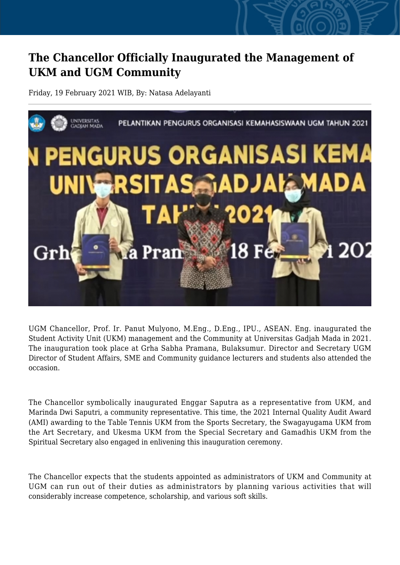## **The Chancellor Officially Inaugurated the Management of UKM and UGM Community**

Friday, 19 February 2021 WIB, By: Natasa Adelayanti



UGM Chancellor, Prof. Ir. Panut Mulyono, M.Eng., D.Eng., IPU., ASEAN. Eng. inaugurated the Student Activity Unit (UKM) management and the Community at Universitas Gadjah Mada in 2021. The inauguration took place at Grha Sabha Pramana, Bulaksumur. Director and Secretary UGM Director of Student Affairs, SME and Community guidance lecturers and students also attended the occasion.

The Chancellor symbolically inaugurated Enggar Saputra as a representative from UKM, and Marinda Dwi Saputri, a community representative. This time, the 2021 Internal Quality Audit Award (AMI) awarding to the Table Tennis UKM from the Sports Secretary, the Swagayugama UKM from the Art Secretary, and Ukesma UKM from the Special Secretary and Gamadhis UKM from the Spiritual Secretary also engaged in enlivening this inauguration ceremony.

The Chancellor expects that the students appointed as administrators of UKM and Community at UGM can run out of their duties as administrators by planning various activities that will considerably increase competence, scholarship, and various soft skills.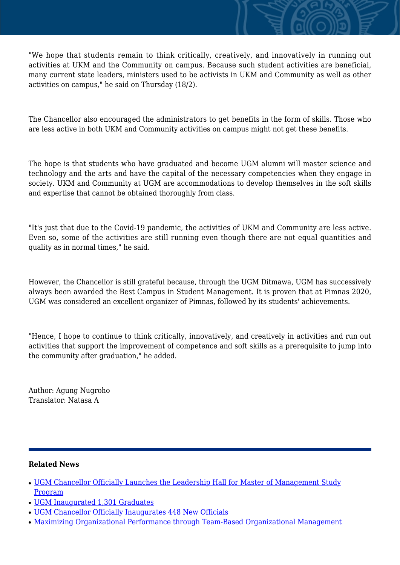"We hope that students remain to think critically, creatively, and innovatively in running out activities at UKM and the Community on campus. Because such student activities are beneficial, many current state leaders, ministers used to be activists in UKM and Community as well as other activities on campus," he said on Thursday (18/2).

The Chancellor also encouraged the administrators to get benefits in the form of skills. Those who are less active in both UKM and Community activities on campus might not get these benefits.

The hope is that students who have graduated and become UGM alumni will master science and technology and the arts and have the capital of the necessary competencies when they engage in society. UKM and Community at UGM are accommodations to develop themselves in the soft skills and expertise that cannot be obtained thoroughly from class.

"It's just that due to the Covid-19 pandemic, the activities of UKM and Community are less active. Even so, some of the activities are still running even though there are not equal quantities and quality as in normal times," he said.

However, the Chancellor is still grateful because, through the UGM Ditmawa, UGM has successively always been awarded the Best Campus in Student Management. It is proven that at Pimnas 2020, UGM was considered an excellent organizer of Pimnas, followed by its students' achievements.

"Hence, I hope to continue to think critically, innovatively, and creatively in activities and run out activities that support the improvement of competence and soft skills as a prerequisite to jump into the community after graduation," he added.

Author: Agung Nugroho Translator: Natasa A

## **Related News**

- [UGM Chancellor Officially Launches the Leadership Hall for Master of Management Study](http://ugm.ac.id/www.ugm.ac.id//en/news/20719-ugm-chancellor-officially-inaugurates-448-new-officials) [Program](http://ugm.ac.id/www.ugm.ac.id//en/news/20719-ugm-chancellor-officially-inaugurates-448-new-officials)
- [UGM Inaugurated 1,301 Graduates](http://ugm.ac.id/www.ugm.ac.id//en/news/5234-maximizing-organizational-performance-through-team-based-organizational-management)
- [UGM Chancellor Officially Inaugurates 448 New Officials](http://ugm.ac.id/www.ugm.ac.id//en/news/20646-ugm-chancellor-encourages-alumni-to-take-part-in-handling-covid-19)
- [Maximizing Organizational Performance through Team-Based Organizational Management](http://ugm.ac.id/www.ugm.ac.id//en/news/20569-ugm-chancellor-officially-launches-the-leadership-hall-for-master-of-management-study-program)